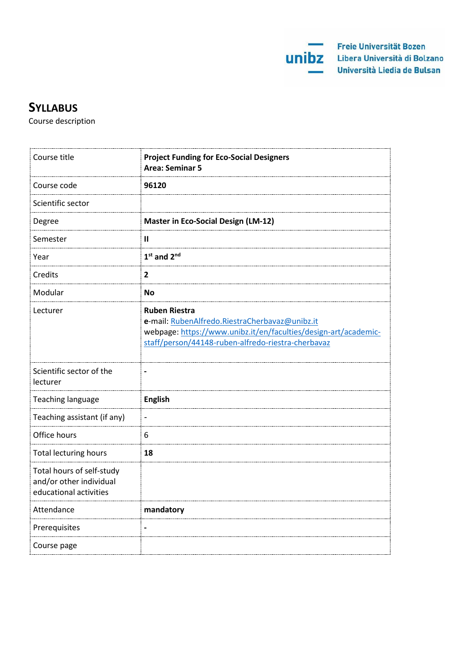

# **SYLLABUS**

Course description

| Course title                                                                   | <b>Project Funding for Eco-Social Designers</b><br><b>Area: Seminar 5</b>                                                                                                                       |
|--------------------------------------------------------------------------------|-------------------------------------------------------------------------------------------------------------------------------------------------------------------------------------------------|
| Course code                                                                    | 96120                                                                                                                                                                                           |
| Scientific sector                                                              |                                                                                                                                                                                                 |
| Degree                                                                         | <b>Master in Eco-Social Design (LM-12)</b>                                                                                                                                                      |
| Semester                                                                       | $\mathbf{I}$                                                                                                                                                                                    |
| Year                                                                           | $1st$ and $2nd$                                                                                                                                                                                 |
| Credits                                                                        | $\overline{2}$                                                                                                                                                                                  |
| Modular                                                                        | <b>No</b>                                                                                                                                                                                       |
| Lecturer                                                                       | <b>Ruben Riestra</b><br>e-mail: RubenAlfredo.RiestraCherbavaz@unibz.it<br>webpage: https://www.unibz.it/en/faculties/design-art/academic-<br>staff/person/44148-ruben-alfredo-riestra-cherbavaz |
| Scientific sector of the<br>lecturer                                           | $\overline{\phantom{0}}$                                                                                                                                                                        |
| Teaching language                                                              | <b>English</b>                                                                                                                                                                                  |
| Teaching assistant (if any)                                                    | $\frac{1}{2}$                                                                                                                                                                                   |
| Office hours                                                                   | 6                                                                                                                                                                                               |
| <b>Total lecturing hours</b>                                                   | 18                                                                                                                                                                                              |
| Total hours of self-study<br>and/or other individual<br>educational activities |                                                                                                                                                                                                 |
| Attendance                                                                     | mandatory                                                                                                                                                                                       |
| Prerequisites                                                                  |                                                                                                                                                                                                 |
| Course page                                                                    |                                                                                                                                                                                                 |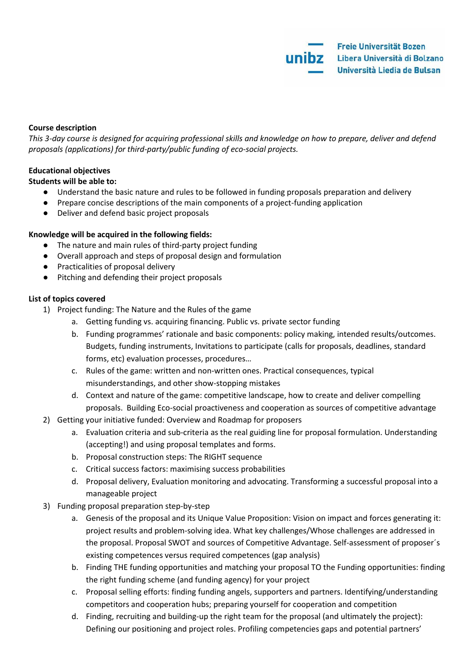## **Course description**

*This 3-day course is designed for acquiring professional skills and knowledge on how to prepare, deliver and defend proposals (applications) for third-party/public funding of eco-social projects.*

## **Educational objectives**

**Students will be able to:**

- Understand the basic nature and rules to be followed in funding proposals preparation and delivery
- Prepare concise descriptions of the main components of a project-funding application
- Deliver and defend basic project proposals

#### **Knowledge will be acquired in the following fields:**

- The nature and main rules of third-party project funding
- Overall approach and steps of proposal design and formulation
- Practicalities of proposal delivery
- Pitching and defending their project proposals

#### **List of topics covered**

- 1) Project funding: The Nature and the Rules of the game
	- a. Getting funding vs. acquiring financing. Public vs. private sector funding
	- b. Funding programmes' rationale and basic components: policy making, intended results/outcomes. Budgets, funding instruments, Invitations to participate (calls for proposals, deadlines, standard forms, etc) evaluation processes, procedures…
	- c. Rules of the game: written and non-written ones. Practical consequences, typical misunderstandings, and other show-stopping mistakes
	- d. Context and nature of the game: competitive landscape, how to create and deliver compelling proposals. Building Eco-social proactiveness and cooperation as sources of competitive advantage
- 2) Getting your initiative funded: Overview and Roadmap for proposers
	- a. Evaluation criteria and sub-criteria as the real guiding line for proposal formulation. Understanding (accepting!) and using proposal templates and forms.
	- b. Proposal construction steps: The RIGHT sequence
	- c. Critical success factors: maximising success probabilities
	- d. Proposal delivery, Evaluation monitoring and advocating. Transforming a successful proposal into a manageable project
- 3) Funding proposal preparation step-by-step
	- a. Genesis of the proposal and its Unique Value Proposition: Vision on impact and forces generating it: project results and problem-solving idea. What key challenges/Whose challenges are addressed in the proposal. Proposal SWOT and sources of Competitive Advantage. Self-assessment of proposer´s existing competences versus required competences (gap analysis)
	- b. Finding THE funding opportunities and matching your proposal TO the Funding opportunities: finding the right funding scheme (and funding agency) for your project
	- c. Proposal selling efforts: finding funding angels, supporters and partners. Identifying/understanding competitors and cooperation hubs; preparing yourself for cooperation and competition
	- d. Finding, recruiting and building-up the right team for the proposal (and ultimately the project): Defining our positioning and project roles. Profiling competencies gaps and potential partners'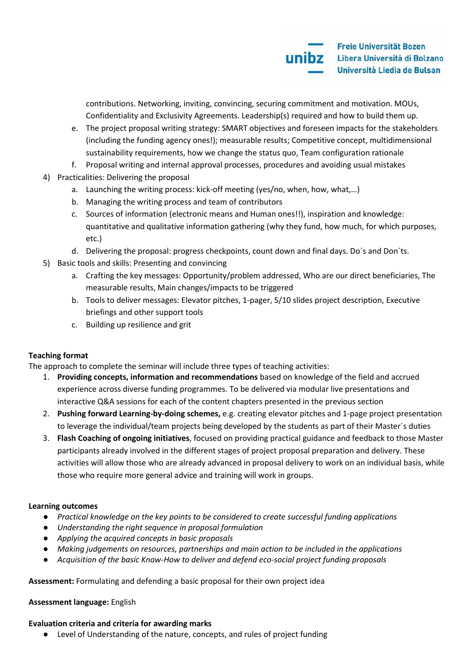contributions. Networking, inviting, convincing, securing commitment and motivation. MOUs, Confidentiality and Exclusivity Agreements. Leadership(s) required and how to build them up.

- e. The project proposal writing strategy: SMART objectives and foreseen impacts for the stakeholders (including the funding agency ones!); measurable results; Competitive concept, multidimensional sustainability requirements, how we change the status quo, Team configuration rationale
- f. Proposal writing and internal approval processes, procedures and avoiding usual mistakes
- 4) Practicalities: Delivering the proposal
	- a. Launching the writing process: kick-off meeting (yes/no, when, how, what,…)
	- b. Managing the writing process and team of contributors
	- c. Sources of information (electronic means and Human ones!!), inspiration and knowledge: quantitative and qualitative information gathering (why they fund, how much, for which purposes, etc.)
	- d. Delivering the proposal: progress checkpoints, count down and final days. Do´s and Don´ts.
- 5) Basic tools and skills: Presenting and convincing
	- a. Crafting the key messages: Opportunity/problem addressed, Who are our direct beneficiaries, The measurable results, Main changes/impacts to be triggered
	- b. Tools to deliver messages: Elevator pitches, 1-pager, 5/10 slides project description, Executive briefings and other support tools
	- c. Building up resilience and grit

# **Teaching format**

The approach to complete the seminar will include three types of teaching activities:

- 1. **Providing concepts, information and recommendations** based on knowledge of the field and accrued experience across diverse funding programmes. To be delivered via modular live presentations and interactive Q&A sessions for each of the content chapters presented in the previous section
- 2. **Pushing forward Learning-by-doing schemes,** e.g. creating elevator pitches and 1-page project presentation to leverage the individual/team projects being developed by the students as part of their Master´s duties
- 3. **Flash Coaching of ongoing initiatives**, focused on providing practical guidance and feedback to those Master participants already involved in the different stages of project proposal preparation and delivery. These activities will allow those who are already advanced in proposal delivery to work on an individual basis, while those who require more general advice and training will work in groups.

# **Learning outcomes**

- *Practical knowledge on the key points to be considered to create successful funding applications*
- *Understanding the right sequence in proposal formulation*
- *Applying the acquired concepts in basic proposals*
- *Making judgements on resources, partnerships and main action to be included in the applications*
- *Acquisition of the basic Know-How to deliver and defend eco-social project funding proposals*

**Assessment:** Formulating and defending a basic proposal for their own project idea

# **Assessment language:** English

# **Evaluation criteria and criteria for awarding marks**

● Level of Understanding of the nature, concepts, and rules of project funding